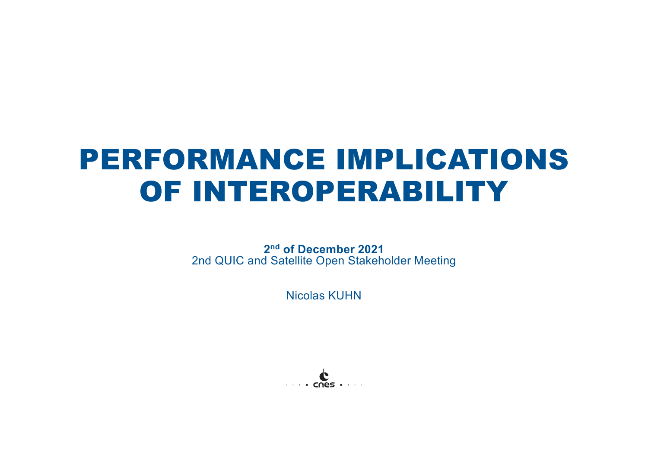# PERFORMANCE IMPLICATIONS OF INTEROPERABILITY

**2nd of December 2021** 2nd QUIC and Satellite Open Stakeholder Meeting

Nicolas KUHN

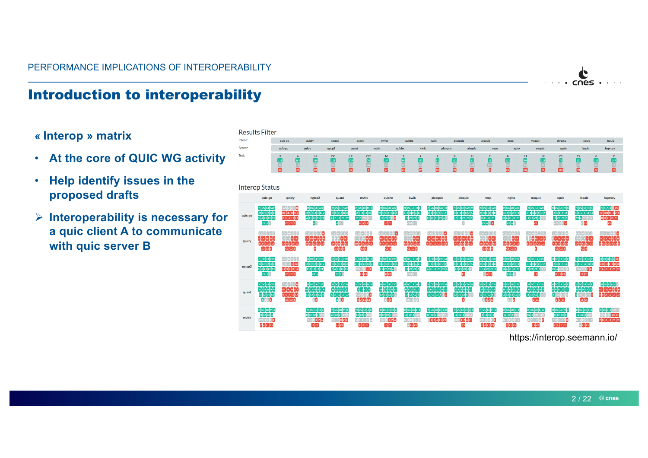

#### Introduction to interoperability

#### **« Interop » matrix**

- **At the core of QUIC WG activity**
- **Help identify issues in the proposed drafts**
- Ø **Interoperability is necessary for a quic client A to communicate with quic server B**



https://interop.seemann.io/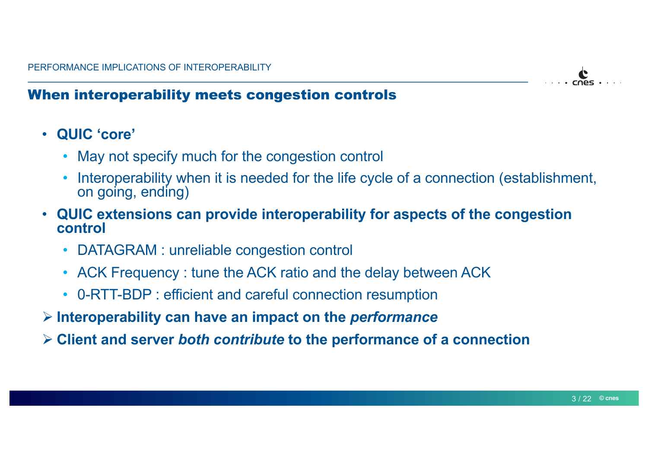

## When interoperability meets congestion controls

- **QUIC 'core'**
	- May not specify much for the congestion control
	- Interoperability when it is needed for the life cycle of a connection (establishment, on going, ending)
- **QUIC extensions can provide interoperability for aspects of the congestion control**
	- DATAGRAM : unreliable congestion control
	- ACK Frequency : tune the ACK ratio and the delay between ACK
	- 0-RTT-BDP : efficient and careful connection resumption
- Ø **Interoperability can have an impact on the** *performance*
- Ø **Client and server** *both contribute* **to the performance of a connection**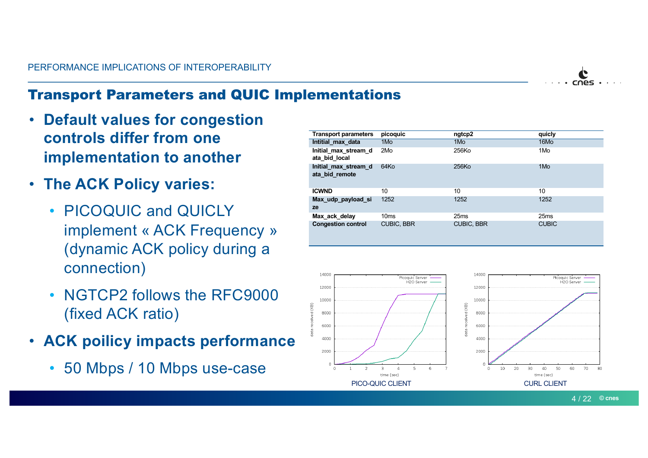### Transport Parameters and QUIC Implementations

- **Default values for congestion controls differ from one implementation to another**
- **The ACK Policy varies:**
	- PICOQUIC and QUICLY implement « ACK Frequency » (dynamic ACK policy during a connection)
	- NGTCP2 follows the RFC9000 (fixed ACK ratio)
- **ACK poilicy impacts performance**
	- 50 Mbps / 10 Mbps use-case

| <b>Transport parameters</b>            | picoquic          | ngtcp2            | quicly           |
|----------------------------------------|-------------------|-------------------|------------------|
| Intitial max data                      | 1Mo               | 1Mo               | 16Mo             |
| Initial max stream d<br>ata bid local  | 2Mo               | 256Ko             | 1Mo              |
| Initial max stream d<br>ata bid remote | 64K <sub>O</sub>  | 256Ko             | 1Mo              |
| <b>ICWND</b>                           | 10                | 10                | 10               |
| Max udp payload si<br>ze               | 1252              | 1252              | 1252             |
| Max ack delay                          | 10 <sub>ms</sub>  | 25 <sub>ms</sub>  | 25 <sub>ms</sub> |
| <b>Congestion control</b>              | <b>CUBIC, BBR</b> | <b>CUBIC, BBR</b> | <b>CUBIC</b>     |



 $\bullet$ cnes